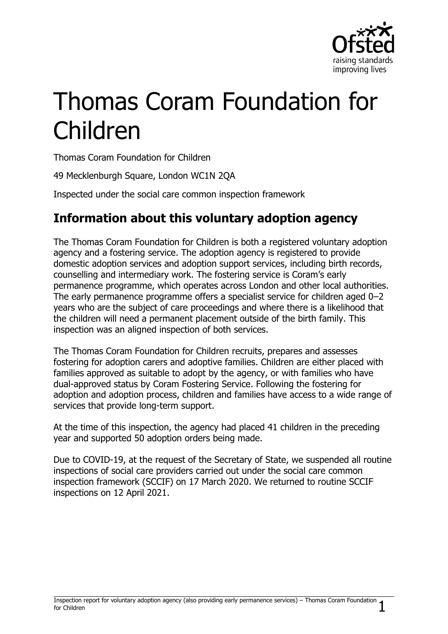

# Thomas Coram Foundation for Children

Thomas Coram Foundation for Children

49 Mecklenburgh Square, London WC1N 2QA

Inspected under the social care common inspection framework

# **Information about this voluntary adoption agency**

The Thomas Coram Foundation for Children is both a registered voluntary adoption agency and a fostering service. The adoption agency is registered to provide domestic adoption services and adoption support services, including birth records, counselling and intermediary work. The fostering service is Coram's early permanence programme, which operates across London and other local authorities. The early permanence programme offers a specialist service for children aged 0–2 years who are the subject of care proceedings and where there is a likelihood that the children will need a permanent placement outside of the birth family. This inspection was an aligned inspection of both services.

The Thomas Coram Foundation for Children recruits, prepares and assesses fostering for adoption carers and adoptive families. Children are either placed with families approved as suitable to adopt by the agency, or with families who have dual-approved status by Coram Fostering Service. Following the fostering for adoption and adoption process, children and families have access to a wide range of services that provide long-term support.

At the time of this inspection, the agency had placed 41 children in the preceding year and supported 50 adoption orders being made.

Due to COVID-19, at the request of the Secretary of State, we suspended all routine inspections of social care providers carried out under the social care common inspection framework (SCCIF) on 17 March 2020. We returned to routine SCCIF inspections on 12 April 2021.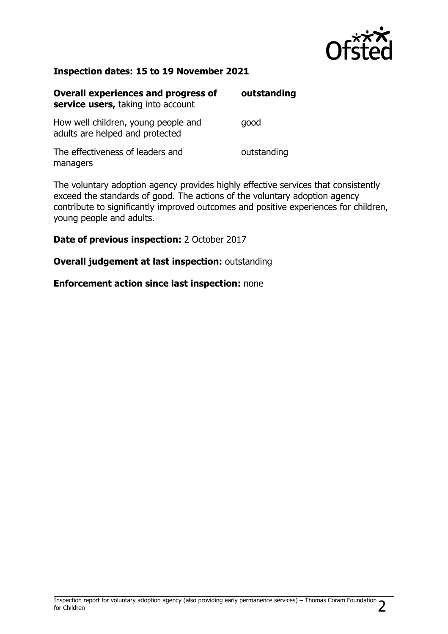

#### **Inspection dates: 15 to 19 November 2021**

| <b>Overall experiences and progress of</b><br>service users, taking into account | outstanding |
|----------------------------------------------------------------------------------|-------------|
| How well children, young people and<br>adults are helped and protected           | good        |
| The effectiveness of leaders and<br>managers                                     | outstanding |

The voluntary adoption agency provides highly effective services that consistently exceed the standards of good. The actions of the voluntary adoption agency contribute to significantly improved outcomes and positive experiences for children, young people and adults.

**Date of previous inspection:** 2 October 2017

**Overall judgement at last inspection:** outstanding

**Enforcement action since last inspection:** none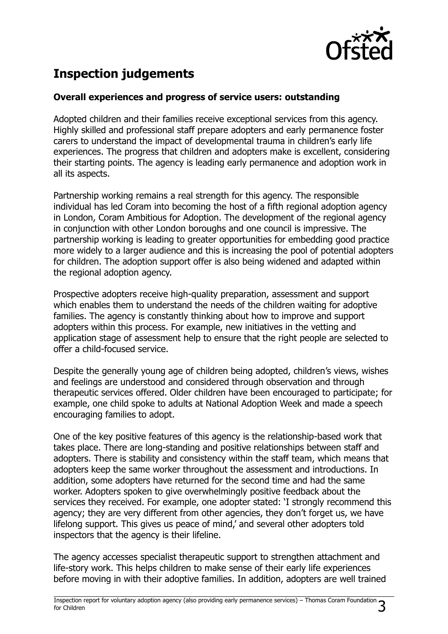

# **Inspection judgements**

#### **Overall experiences and progress of service users: outstanding**

Adopted children and their families receive exceptional services from this agency. Highly skilled and professional staff prepare adopters and early permanence foster carers to understand the impact of developmental trauma in children's early life experiences. The progress that children and adopters make is excellent, considering their starting points. The agency is leading early permanence and adoption work in all its aspects.

Partnership working remains a real strength for this agency. The responsible individual has led Coram into becoming the host of a fifth regional adoption agency in London, Coram Ambitious for Adoption. The development of the regional agency in conjunction with other London boroughs and one council is impressive. The partnership working is leading to greater opportunities for embedding good practice more widely to a larger audience and this is increasing the pool of potential adopters for children. The adoption support offer is also being widened and adapted within the regional adoption agency.

Prospective adopters receive high-quality preparation, assessment and support which enables them to understand the needs of the children waiting for adoptive families. The agency is constantly thinking about how to improve and support adopters within this process. For example, new initiatives in the vetting and application stage of assessment help to ensure that the right people are selected to offer a child-focused service.

Despite the generally young age of children being adopted, children's views, wishes and feelings are understood and considered through observation and through therapeutic services offered. Older children have been encouraged to participate; for example, one child spoke to adults at National Adoption Week and made a speech encouraging families to adopt.

One of the key positive features of this agency is the relationship-based work that takes place. There are long-standing and positive relationships between staff and adopters. There is stability and consistency within the staff team, which means that adopters keep the same worker throughout the assessment and introductions. In addition, some adopters have returned for the second time and had the same worker. Adopters spoken to give overwhelmingly positive feedback about the services they received. For example, one adopter stated: 'I strongly recommend this agency; they are very different from other agencies, they don't forget us, we have lifelong support. This gives us peace of mind,' and several other adopters told inspectors that the agency is their lifeline.

The agency accesses specialist therapeutic support to strengthen attachment and life-story work. This helps children to make sense of their early life experiences before moving in with their adoptive families. In addition, adopters are well trained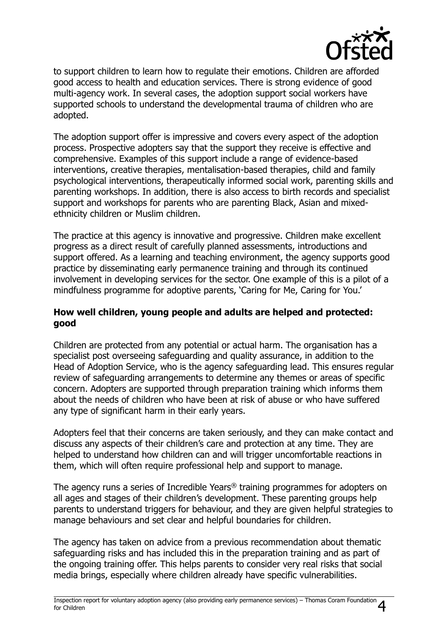

to support children to learn how to regulate their emotions. Children are afforded good access to health and education services. There is strong evidence of good multi-agency work. In several cases, the adoption support social workers have supported schools to understand the developmental trauma of children who are adopted.

The adoption support offer is impressive and covers every aspect of the adoption process. Prospective adopters say that the support they receive is effective and comprehensive. Examples of this support include a range of evidence-based interventions, creative therapies, mentalisation-based therapies, child and family psychological interventions, therapeutically informed social work, parenting skills and parenting workshops. In addition, there is also access to birth records and specialist support and workshops for parents who are parenting Black, Asian and mixedethnicity children or Muslim children.

The practice at this agency is innovative and progressive. Children make excellent progress as a direct result of carefully planned assessments, introductions and support offered. As a learning and teaching environment, the agency supports good practice by disseminating early permanence training and through its continued involvement in developing services for the sector. One example of this is a pilot of a mindfulness programme for adoptive parents, 'Caring for Me, Caring for You.'

#### **How well children, young people and adults are helped and protected: good**

Children are protected from any potential or actual harm. The organisation has a specialist post overseeing safeguarding and quality assurance, in addition to the Head of Adoption Service, who is the agency safeguarding lead. This ensures regular review of safeguarding arrangements to determine any themes or areas of specific concern. Adopters are supported through preparation training which informs them about the needs of children who have been at risk of abuse or who have suffered any type of significant harm in their early years.

Adopters feel that their concerns are taken seriously, and they can make contact and discuss any aspects of their children's care and protection at any time. They are helped to understand how children can and will trigger uncomfortable reactions in them, which will often require professional help and support to manage.

The agency runs a series of Incredible Years® training programmes for adopters on all ages and stages of their children's development. These parenting groups help parents to understand triggers for behaviour, and they are given helpful strategies to manage behaviours and set clear and helpful boundaries for children.

The agency has taken on advice from a previous recommendation about thematic safeguarding risks and has included this in the preparation training and as part of the ongoing training offer. This helps parents to consider very real risks that social media brings, especially where children already have specific vulnerabilities.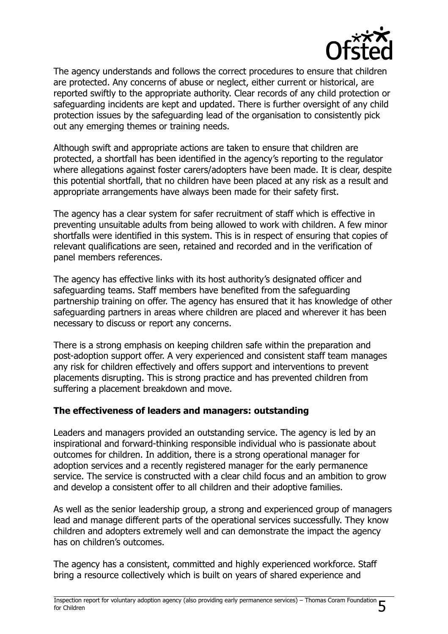

The agency understands and follows the correct procedures to ensure that children are protected. Any concerns of abuse or neglect, either current or historical, are reported swiftly to the appropriate authority. Clear records of any child protection or safeguarding incidents are kept and updated. There is further oversight of any child protection issues by the safeguarding lead of the organisation to consistently pick out any emerging themes or training needs.

Although swift and appropriate actions are taken to ensure that children are protected, a shortfall has been identified in the agency's reporting to the regulator where allegations against foster carers/adopters have been made. It is clear, despite this potential shortfall, that no children have been placed at any risk as a result and appropriate arrangements have always been made for their safety first.

The agency has a clear system for safer recruitment of staff which is effective in preventing unsuitable adults from being allowed to work with children. A few minor shortfalls were identified in this system. This is in respect of ensuring that copies of relevant qualifications are seen, retained and recorded and in the verification of panel members references.

The agency has effective links with its host authority's designated officer and safeguarding teams. Staff members have benefited from the safeguarding partnership training on offer. The agency has ensured that it has knowledge of other safeguarding partners in areas where children are placed and wherever it has been necessary to discuss or report any concerns.

There is a strong emphasis on keeping children safe within the preparation and post-adoption support offer. A very experienced and consistent staff team manages any risk for children effectively and offers support and interventions to prevent placements disrupting. This is strong practice and has prevented children from suffering a placement breakdown and move.

#### **The effectiveness of leaders and managers: outstanding**

Leaders and managers provided an outstanding service. The agency is led by an inspirational and forward-thinking responsible individual who is passionate about outcomes for children. In addition, there is a strong operational manager for adoption services and a recently registered manager for the early permanence service. The service is constructed with a clear child focus and an ambition to grow and develop a consistent offer to all children and their adoptive families.

As well as the senior leadership group, a strong and experienced group of managers lead and manage different parts of the operational services successfully. They know children and adopters extremely well and can demonstrate the impact the agency has on children's outcomes.

The agency has a consistent, committed and highly experienced workforce. Staff bring a resource collectively which is built on years of shared experience and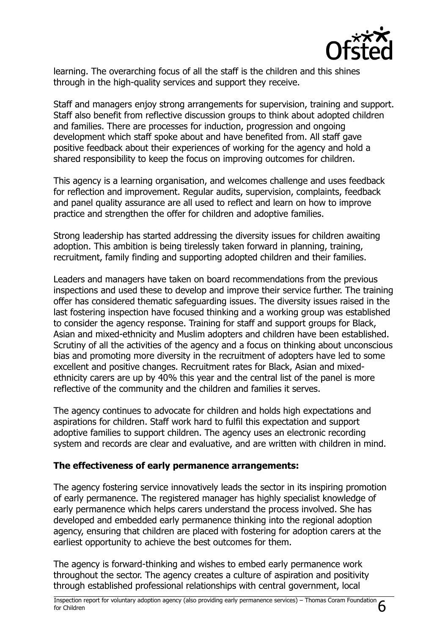

learning. The overarching focus of all the staff is the children and this shines through in the high-quality services and support they receive.

Staff and managers enjoy strong arrangements for supervision, training and support. Staff also benefit from reflective discussion groups to think about adopted children and families. There are processes for induction, progression and ongoing development which staff spoke about and have benefited from. All staff gave positive feedback about their experiences of working for the agency and hold a shared responsibility to keep the focus on improving outcomes for children.

This agency is a learning organisation, and welcomes challenge and uses feedback for reflection and improvement. Regular audits, supervision, complaints, feedback and panel quality assurance are all used to reflect and learn on how to improve practice and strengthen the offer for children and adoptive families.

Strong leadership has started addressing the diversity issues for children awaiting adoption. This ambition is being tirelessly taken forward in planning, training, recruitment, family finding and supporting adopted children and their families.

Leaders and managers have taken on board recommendations from the previous inspections and used these to develop and improve their service further. The training offer has considered thematic safeguarding issues. The diversity issues raised in the last fostering inspection have focused thinking and a working group was established to consider the agency response. Training for staff and support groups for Black, Asian and mixed-ethnicity and Muslim adopters and children have been established. Scrutiny of all the activities of the agency and a focus on thinking about unconscious bias and promoting more diversity in the recruitment of adopters have led to some excellent and positive changes. Recruitment rates for Black, Asian and mixedethnicity carers are up by 40% this year and the central list of the panel is more reflective of the community and the children and families it serves.

The agency continues to advocate for children and holds high expectations and aspirations for children. Staff work hard to fulfil this expectation and support adoptive families to support children. The agency uses an electronic recording system and records are clear and evaluative, and are written with children in mind.

#### **The effectiveness of early permanence arrangements:**

The agency fostering service innovatively leads the sector in its inspiring promotion of early permanence. The registered manager has highly specialist knowledge of early permanence which helps carers understand the process involved. She has developed and embedded early permanence thinking into the regional adoption agency, ensuring that children are placed with fostering for adoption carers at the earliest opportunity to achieve the best outcomes for them.

The agency is forward-thinking and wishes to embed early permanence work throughout the sector. The agency creates a culture of aspiration and positivity through established professional relationships with central government, local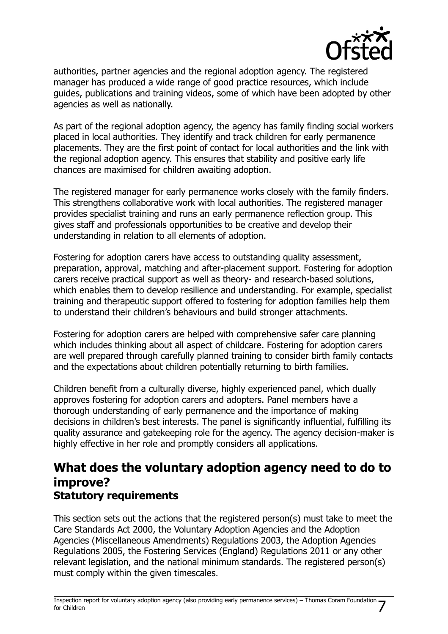

authorities, partner agencies and the regional adoption agency. The registered manager has produced a wide range of good practice resources, which include guides, publications and training videos, some of which have been adopted by other agencies as well as nationally.

As part of the regional adoption agency, the agency has family finding social workers placed in local authorities. They identify and track children for early permanence placements. They are the first point of contact for local authorities and the link with the regional adoption agency. This ensures that stability and positive early life chances are maximised for children awaiting adoption.

The registered manager for early permanence works closely with the family finders. This strengthens collaborative work with local authorities. The registered manager provides specialist training and runs an early permanence reflection group. This gives staff and professionals opportunities to be creative and develop their understanding in relation to all elements of adoption.

Fostering for adoption carers have access to outstanding quality assessment, preparation, approval, matching and after-placement support. Fostering for adoption carers receive practical support as well as theory- and research-based solutions, which enables them to develop resilience and understanding. For example, specialist training and therapeutic support offered to fostering for adoption families help them to understand their children's behaviours and build stronger attachments.

Fostering for adoption carers are helped with comprehensive safer care planning which includes thinking about all aspect of childcare. Fostering for adoption carers are well prepared through carefully planned training to consider birth family contacts and the expectations about children potentially returning to birth families.

Children benefit from a culturally diverse, highly experienced panel, which dually approves fostering for adoption carers and adopters. Panel members have a thorough understanding of early permanence and the importance of making decisions in children's best interests. The panel is significantly influential, fulfilling its quality assurance and gatekeeping role for the agency. The agency decision-maker is highly effective in her role and promptly considers all applications.

## **What does the voluntary adoption agency need to do to improve? Statutory requirements**

This section sets out the actions that the registered person(s) must take to meet the Care Standards Act 2000, the Voluntary Adoption Agencies and the Adoption Agencies (Miscellaneous Amendments) Regulations 2003, the Adoption Agencies Regulations 2005, the Fostering Services (England) Regulations 2011 or any other relevant legislation, and the national minimum standards. The registered person(s) must comply within the given timescales.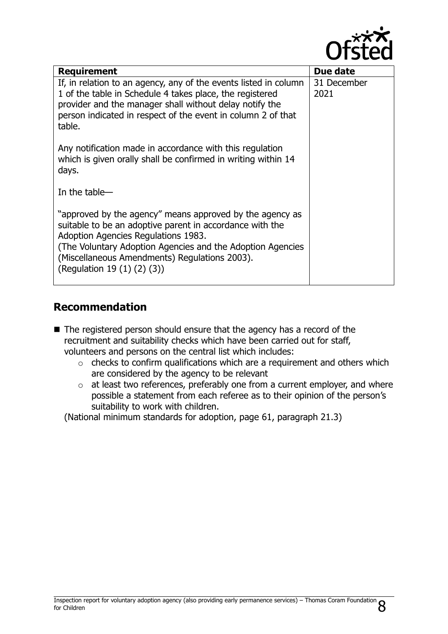

| <b>Requirement</b>                                                                                                                                                                                                                                                                                         | Due date            |
|------------------------------------------------------------------------------------------------------------------------------------------------------------------------------------------------------------------------------------------------------------------------------------------------------------|---------------------|
| If, in relation to an agency, any of the events listed in column<br>1 of the table in Schedule 4 takes place, the registered<br>provider and the manager shall without delay notify the<br>person indicated in respect of the event in column 2 of that<br>table.                                          | 31 December<br>2021 |
| Any notification made in accordance with this regulation<br>which is given orally shall be confirmed in writing within 14<br>days.                                                                                                                                                                         |                     |
| In the table-                                                                                                                                                                                                                                                                                              |                     |
| "approved by the agency" means approved by the agency as<br>suitable to be an adoptive parent in accordance with the<br>Adoption Agencies Regulations 1983.<br>(The Voluntary Adoption Agencies and the Adoption Agencies)<br>(Miscellaneous Amendments) Regulations 2003).<br>(Regulation 19 (1) (2) (3)) |                     |

## **Recommendation**

- The registered person should ensure that the agency has a record of the recruitment and suitability checks which have been carried out for staff, volunteers and persons on the central list which includes:
	- o checks to confirm qualifications which are a requirement and others which are considered by the agency to be relevant
	- $\circ$  at least two references, preferably one from a current employer, and where possible a statement from each referee as to their opinion of the person's suitability to work with children.

(National minimum standards for adoption, page 61, paragraph 21.3)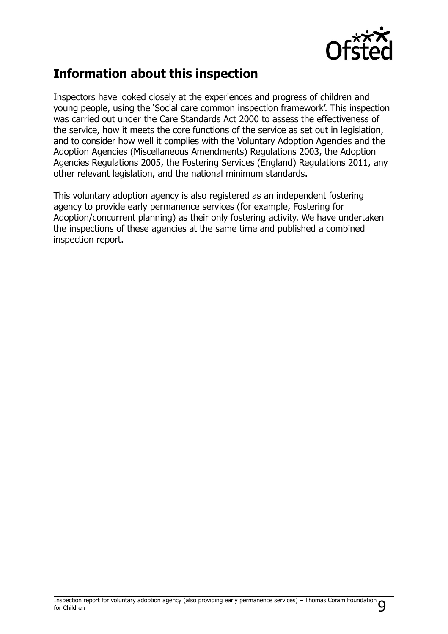

## **Information about this inspection**

Inspectors have looked closely at the experiences and progress of children and young people, using the 'Social care common inspection framework'. This inspection was carried out under the Care Standards Act 2000 to assess the effectiveness of the service, how it meets the core functions of the service as set out in legislation, and to consider how well it complies with the Voluntary Adoption Agencies and the Adoption Agencies (Miscellaneous Amendments) Regulations 2003, the Adoption Agencies Regulations 2005, the Fostering Services (England) Regulations 2011, any other relevant legislation, and the national minimum standards.

This voluntary adoption agency is also registered as an independent fostering agency to provide early permanence services (for example, Fostering for Adoption/concurrent planning) as their only fostering activity. We have undertaken the inspections of these agencies at the same time and published a combined inspection report.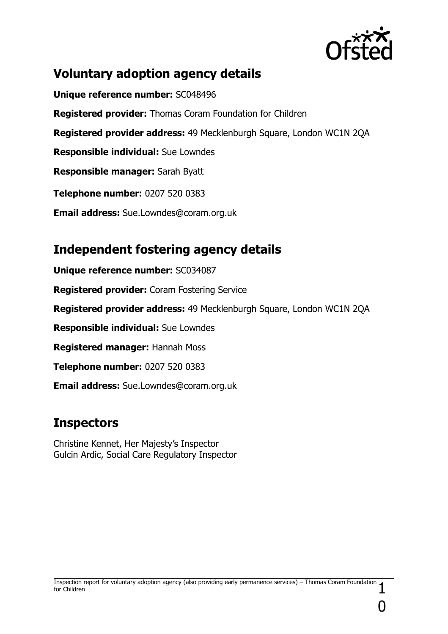

## **Voluntary adoption agency details**

**Unique reference number:** SC048496 **Registered provider:** Thomas Coram Foundation for Children **Registered provider address:** 49 Mecklenburgh Square, London WC1N 2QA **Responsible individual:** Sue Lowndes **Responsible manager:** Sarah Byatt **Telephone number:** 0207 520 0383 **Email address:** Sue.Lowndes@coram.org.uk

## **Independent fostering agency details**

**Unique reference number:** SC034087 **Registered provider:** Coram Fostering Service **Registered provider address:** 49 Mecklenburgh Square, London WC1N 2QA **Responsible individual:** Sue Lowndes **Registered manager:** Hannah Moss **Telephone number:** 0207 520 0383 **Email address:** Sue.Lowndes@coram.org.uk

## **Inspectors**

Christine Kennet, Her Majesty's Inspector Gulcin Ardic, Social Care Regulatory Inspector